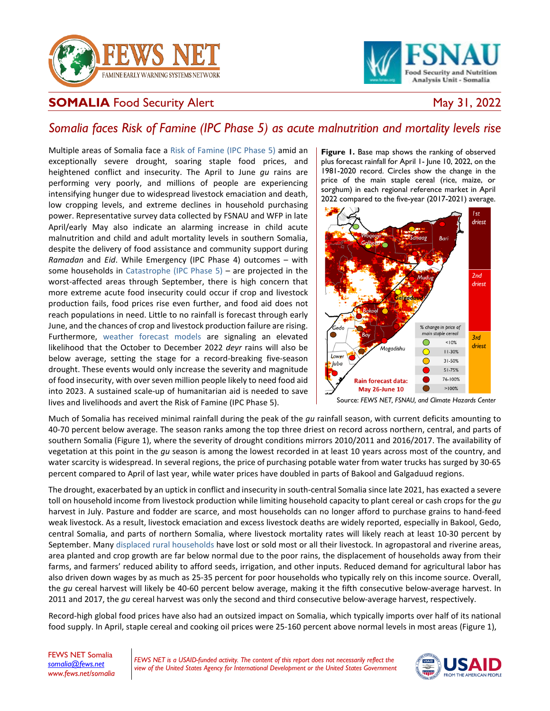



## **SOMALIA** Food Security Alert May 31, 2022

## *Somalia faces Risk of Famine (IPC Phase 5) as acute malnutrition and mortality levels rise*

Multiple areas of Somalia face a [Risk of Famine \(IPC Phase 5\)](https://fews.net/sites/default/files/Risk_of_Famine_Guidance_11022021.pdf) amid an exceptionally severe drought, soaring staple food prices, and heightened conflict and insecurity. The April to June *gu* rains are performing very poorly, and millions of people are experiencing intensifying hunger due to widespread livestock emaciation and death, low cropping levels, and extreme declines in household purchasing power. Representative survey data collected by FSNAU and WFP in late April/early May also indicate an alarming increase in child acute malnutrition and child and adult mortality levels in southern Somalia, despite the delivery of food assistance and community support during *Ramadan* and *Eid*. While Emergency (IPC Phase 4) outcomes – with some households in [Catastrophe \(IPC Phase 5\)](https://reliefweb.int/report/world/ipc-famine-factsheet-updated-december-2020) – are projected in the worst-affected areas through September, there is high concern that more extreme acute food insecurity could occur if crop and livestock production fails, food prices rise even further, and food aid does not reach populations in need. Little to no rainfall is forecast through early June, and the chances of crop and livestock production failure are rising. Furthermore, [weather forecast models](https://www.cpc.ncep.noaa.gov/products/international/nmme/probabilistic_seasonal/nmme_precip_probabilistic.shtml#AFRICA) are signaling an elevated likelihood that the October to December 2022 *deyr* rains will also be below average, setting the stage for a record-breaking five-season drought. These events would only increase the severity and magnitude of food insecurity, with over seven million people likely to need food aid into 2023. A sustained scale-up of humanitarian aid is needed to save lives and livelihoods and avert the Risk of Famine (IPC Phase 5).

**Figure 1.** Base map shows the ranking of observed plus forecast rainfall for April 1- June 10, 2022, on the 1981-2020 record. Circles show the change in the price of the main staple cereal (rice, maize, or sorghum) in each regional reference market in April 2022 compared to the five-year (2017-2021) average.



Source: *FEWS NET, FSNAU, and Climate Hazards Center*

Much of Somalia has received minimal rainfall during the peak of the *gu* rainfall season, with current deficits amounting to 40-70 percent below average. The season ranks among the top three driest on record across northern, central, and parts of southern Somalia (Figure 1), where the severity of drought conditions mirrors 2010/2011 and 2016/2017. The availability of vegetation at this point in the *gu* season is among the lowest recorded in at least 10 years across most of the country, and water scarcity is widespread. In several regions, the price of purchasing potable water from water trucks has surged by 30-65 percent compared to April of last year, while water prices have doubled in parts of Bakool and Galgaduud regions.

The drought, exacerbated by an uptick in conflict and insecurity in south-central Somalia since late 2021, has exacted a severe toll on household income from livestock production while limiting household capacity to plant cereal or cash crops for the *gu*  harvest in July. Pasture and fodder are scarce, and most households can no longer afford to purchase grains to hand-feed weak livestock. As a result, livestock emaciation and excess livestock deaths are widely reported, especially in Bakool, Gedo, central Somalia, and parts of northern Somalia, where livestock mortality rates will likely reach at least 10-30 percent by September. Many [displaced rural households](https://reliefweb.int/report/somalia/somalia-drought-displacement-monitoring-dashboard-april-2022) have lost or sold most or all their livestock. In agropastoral and riverine areas, area planted and crop growth are far below normal due to the poor rains, the displacement of households away from their farms, and farmers' reduced ability to afford seeds, irrigation, and other inputs. Reduced demand for agricultural labor has also driven down wages by as much as 25-35 percent for poor households who typically rely on this income source. Overall, the *gu* cereal harvest will likely be 40-60 percent below average, making it the fifth consecutive below-average harvest. In 2011 and 2017, the *gu* cereal harvest was only the second and third consecutive below-average harvest, respectively.

Record-high global food prices have also had an outsized impact on Somalia, which typically imports over half of its national food supply. In April, staple cereal and cooking oil prices were 25-160 percent above normal levels in most areas (Figure 1),

FEWS NET Somalia *[somalia@fews.net](mailto:somalia@fews.net) [www.fews.net/](http://www.fews.net/)somalia*

*FEWS NET is a USAID-funded activity. The content of this report does not necessarily reflect the view of the United States Agency for International Development or the United States Government*